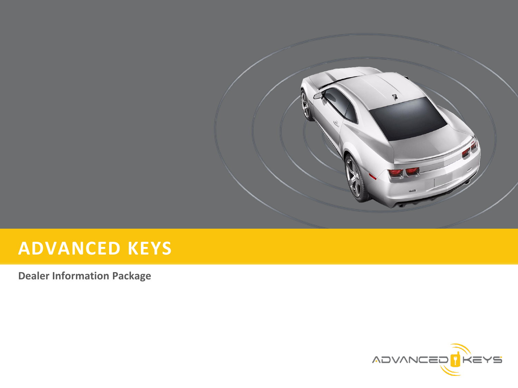

# **ADVANCED KEYS**

**Dealer Information Package**

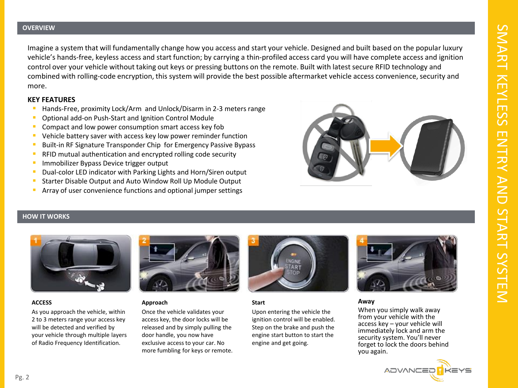#### **OVERVIEW**

Imagine a system that will fundamentally change how you access and start your vehicle. Designed and built based on the popular luxury vehicle's hands-free, keyless access and start function; by carrying a thin-profiled access card you will have complete access and ignition control over your vehicle without taking out keys or pressing buttons on the remote. Built with latest secure RFID technology and combined with rolling-code encryption, this system will provide the best possible aftermarket vehicle access convenience, security and more.

#### **KEY FEATURES**

- Hands-Free, proximity Lock/Arm and Unlock/Disarm in 2-3 meters range
- **D** Optional add-on Push-Start and Ignition Control Module
- Compact and low power consumption smart access key fob
- Vehicle battery saver with access key low power reminder function
- Built-in RF Signature Transponder Chip for Emergency Passive Bypass
- **RFID mutual authentication and encrypted rolling code security**
- Immobilizer Bypass Device trigger output
- Dual-color LED indicator with Parking Lights and Horn/Siren output
- Starter Disable Output and Auto Window Roll Up Module Output
- Array of user convenience functions and optional jumper settings



#### **HOW IT WORKS**



#### **ACCESS**

As you approach the vehicle, within 2 to 3 meters range your access key will be detected and verified by your vehicle through multiple layers of Radio Frequency Identification.



#### **Approach**

Once the vehicle validates your access key, the door locks will be released and by simply pulling the door handle, you now have exclusive access to your car. No more fumbling for keys or remote.



#### **Start**

Upon entering the vehicle the ignition control will be enabled. Step on the brake and push the engine start button to start the engine and get going.



#### **Away**

When you simply walk away from your vehicle with the access key – your vehicle will immediately lock and arm the security system. You'll never forget to lock the doors behind you again.

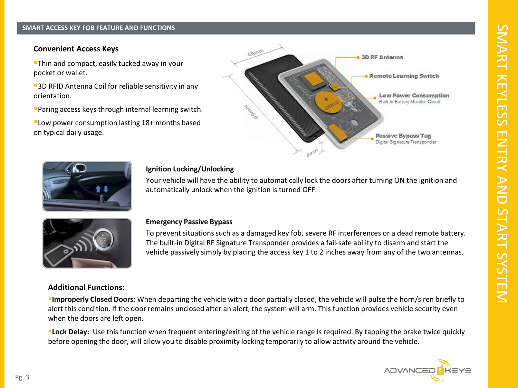#### **About Us: SMART ACCESS KEY FOB FEATURE AND FUNCTIONS**

### **Convenient Access Keys**

**Thin and compact, easily tucked away in your** pocket or wallet.

**3D RFID Antenna Coil for reliable sensitivity in any** orientation.

Paring access keys through internal learning switch.

Low power consumption lasting 18+ months based on typical daily usage.





## **Ignition Locking/Unlocking**

Your vehicle will have the ability to automatically lock the doors after turning ON the ignition and automatically unlock when the ignition is turned OFF.



#### **Emergency Passive Bypass**

To prevent situations such as a damaged key fob, severe RF interferences or a dead remote battery. The built-in Digital RF Signature Transponder provides a fail-safe ability to disarm and start the vehicle passively simply by placing the access key 1 to 2 inches away from any of the two antennas.

# **Additional Functions:**

**Improperly Closed Doors:** When departing the vehicle with a door partially closed, the vehicle will pulse the horn/siren briefly to alert this condition. If the door remains unclosed after an alert, the system will arm. This function provides vehicle security even when the doors are left open.

**Lock Delay:** Use this function when frequent entering/exiting of the vehicle range is required. By tapping the brake twice quickly before opening the door, will allow you to disable proximity locking temporarily to allow activity around the vehicle.

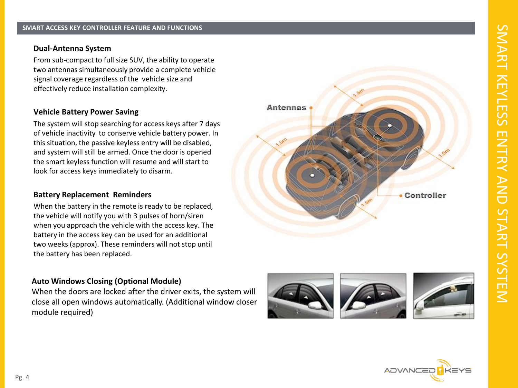## **Dual -Antenna System**

From sub -compact to full size SUV, the ability to operate two antennas simultaneously provide a complete vehicle signal coverage regardless of the vehicle size and effectively reduce installation complexity.

## **Vehicle Battery Power Saving**

The system will stop searching for access keys after 7 days of vehicle inactivity to conserve vehicle battery power. In this situation, the passive keyless entry will be disabled, and system will still be armed. Once the door is opened the smart keyless function will resume and will start to look for access keys immediately to disarm.

## **Battery Replacement Reminders**

When the battery in the remote is ready to be replaced, the vehicle will notify you with 3 pulses of horn/siren when you approach the vehicle with the access key. The battery in the access key can be used for an additional two weeks (approx). These reminders will not stop until the battery has been replaced.

# **Auto Windows Closing (Optional Module)**

When the doors are locked after the driver exits, the system will close all open windows automatically. (Additional window closer module required)



**Antennas** 



• Controller

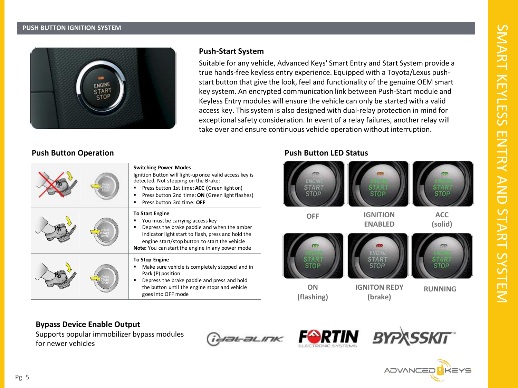#### **About Us: PUSH BUTTON IGNITION SYSTEM**



# **Push-Start System**

Suitable for any vehicle, Advanced Keys' Smart Entry and Start System provide a true hands-free keyless entry experience. Equipped with a Toyota/Lexus pushstart button that give the look, feel and functionality of the genuine OEM smart key system. An encrypted communication link between Push-Start module and Keyless Entry modules will ensure the vehicle can only be started with a valid access key. This system is also designed with dual-relay protection in mind for exceptional safety consideration. In event of a relay failures, another relay will take over and ensure continuous vehicle operation without interruption.

# **Push Button Operation**

| <b>Switching Power Modes</b><br>Ignition Button will light-up once valid access key is<br>detected. Not stepping on the Brake:<br>Press button 1st time: ACC (Green light on)<br>Press button 2nd time: ON (Green light flashes)<br>Press button 3rd time: OFF             |
|----------------------------------------------------------------------------------------------------------------------------------------------------------------------------------------------------------------------------------------------------------------------------|
| <b>To Start Engine</b><br>You must be carrying access key<br>Depress the brake paddle and when the amber<br>indicator light start to flash, press and hold the<br>engine start/stop button to start the vehicle<br><b>Note:</b> You can start the engine in any power mode |
| <b>To Stop Engine</b><br>Make sure vehicle is completely stopped and in<br>Park (P) position<br>Depress the brake paddle and press and hold<br>the button until the engine stops and vehicle<br>goes into OFF mode                                                         |

# **Push Button LED Status**



# **Bypass Device Enable Output**

Supports popular immobilizer bypass modules for newer vehicles

**TUBL BLINK** 





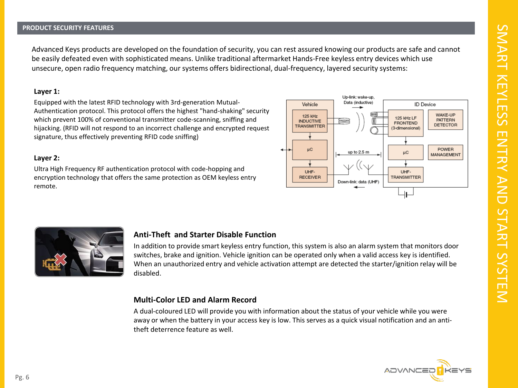#### **PRODUCT SECURITY FEATURES**

Advanced Keys products are developed on the foundation of security, you can rest assured knowing our products are safe and cannot be easily defeated even with sophisticated means. Unlike traditional aftermarket Hands-Free keyless entry devices which use unsecure, open radio frequency matching, our systems offers bidirectional, dual-frequency, layered security systems:

#### **Layer 1:**

Equipped with the latest RFID technology with 3rd-generation Mutual-Authentication protocol. This protocol offers the highest "hand-shaking" security which prevent 100% of conventional transmitter code-scanning, sniffing and hijacking. (RFID will not respond to an incorrect challenge and encrypted request signature, thus effectively preventing RFID code sniffing)

#### **Layer 2:**

Ultra High Frequency RF authentication protocol with code-hopping and encryption technology that offers the same protection as OEM keyless entry remote.





## **Anti-Theft and Starter Disable Function**

In addition to provide smart keyless entry function, this system is also an alarm system that monitors door switches, brake and ignition. Vehicle ignition can be operated only when a valid access key is identified. When an unauthorized entry and vehicle activation attempt are detected the starter/ignition relay will be disabled.

#### **Multi-Color LED and Alarm Record**

A dual-coloured LED will provide you with information about the status of your vehicle while you were away or when the battery in your access key is low. This serves as a quick visual notification and an antitheft deterrence feature as well.

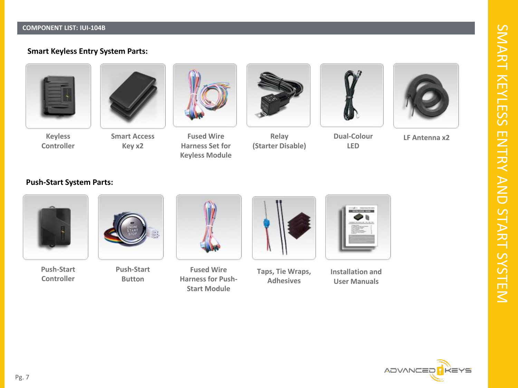#### **About Us: COMPONENT LIST: IUI -104B**

# **Smart Keyless Entry System Parts:**





**Keyless Controller**

**Smart Access Key x2**



**Fused Wire Harness Set for Keyless Module**



**Relay (Starter Disable)**



**Dual -Colour LED**



**LF Antenna x2**

## **Push -Start System Parts:**



**Push -Start Controller**



**Push -Start Button**



**Fused Wire Harness for Push - Start Module**



**Taps, Tie Wraps, Adhesives**



**Installation and User Manuals**



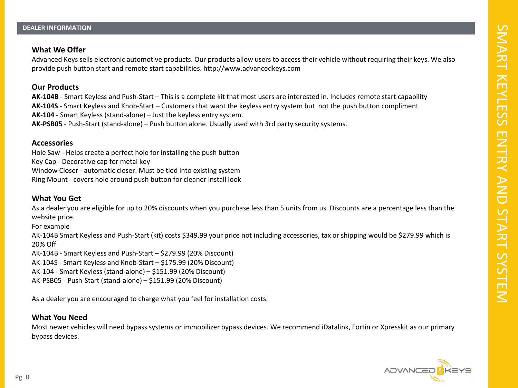## **What We Offer**

Advanced Keys sells electronic automotive products. Our products allow users to access their vehicle without requiring their keys. We also provide push button start and remote start capabilities. http://www.advancedkeys.com

## **Our Products**

**AK-104B** - Smart Keyless and Push-Start – This is a complete kit that most users are interested in. Includes remote start capability **AK-104S** - Smart Keyless and Knob-Start – Customers that want the keyless entry system but not the push button compliment **AK-104** - Smart Keyless (stand-alone) – Just the keyless entry system. **AK-PSB05** - Push-Start (stand-alone) – Push button alone. Usually used with 3rd party security systems.

## **Accessories**

Hole Saw - Helps create a perfect hole for installing the push button Key Cap - Decorative cap for metal key Window Closer - automatic closer. Must be tied into existing system Ring Mount - covers hole around push button for cleaner install look

# **What You Get**

As a dealer you are eligible for up to 20% discounts when you purchase less than 5 units from us. Discounts are a percentage less than the website price.

For example

AK-104B Smart Keyless and Push-Start (kit) costs \$349.99 your price not including accessories, tax or shipping would be \$279.99 which is 20% Off

AK-104B - Smart Keyless and Push-Start – \$279.99 (20% Discount)

AK-104S - Smart Keyless and Knob-Start – \$175.99 (20% Discount)

AK-104 - Smart Keyless (stand-alone) – \$151.99 (20% Discount)

AK-PSB05 - Push-Start (stand-alone) – \$151.99 (20% Discount)

As a dealer you are encouraged to charge what you feel for installation costs.

## **What You Need**

Most newer vehicles will need bypass systems or immobilizer bypass devices. We recommend iDatalink, Fortin or Xpresskit as our primary bypass devices.